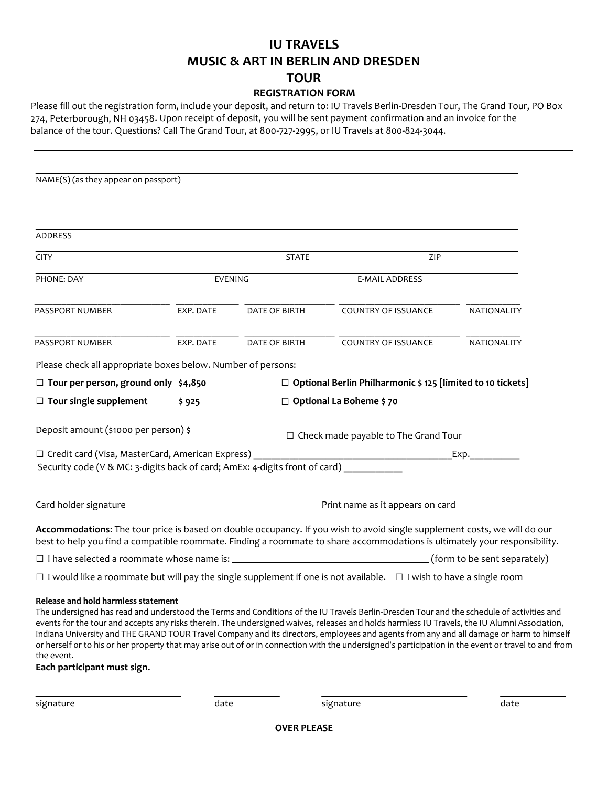## **IU TRAVELS MUSIC & ART IN BERLIN AND DRESDEN TOUR**

## **REGISTRATION FORM**

Please fill out the registration form, include your deposit, and return to: IU Travels Berlin-Dresden Tour, The Grand Tour, PO Box 274, Peterborough, NH 03458. Upon receipt of deposit, you will be sent payment confirmation and an invoice for the balance of the tour. Questions? Call The Grand Tour, at 800-727-2995, or IU Travels at 800-824-3044.

| NAME(S) (as they appear on passport)                                                                                                                                                                                                                                                                                                                                                                                                                                                                                                                                                                                                                                             |                |                                |                                                                    |                              |  |
|----------------------------------------------------------------------------------------------------------------------------------------------------------------------------------------------------------------------------------------------------------------------------------------------------------------------------------------------------------------------------------------------------------------------------------------------------------------------------------------------------------------------------------------------------------------------------------------------------------------------------------------------------------------------------------|----------------|--------------------------------|--------------------------------------------------------------------|------------------------------|--|
|                                                                                                                                                                                                                                                                                                                                                                                                                                                                                                                                                                                                                                                                                  |                |                                |                                                                    |                              |  |
| <b>ADDRESS</b>                                                                                                                                                                                                                                                                                                                                                                                                                                                                                                                                                                                                                                                                   |                |                                |                                                                    |                              |  |
| <b>CITY</b>                                                                                                                                                                                                                                                                                                                                                                                                                                                                                                                                                                                                                                                                      | <b>STATE</b>   |                                | ZIP                                                                |                              |  |
| PHONE: DAY                                                                                                                                                                                                                                                                                                                                                                                                                                                                                                                                                                                                                                                                       | <b>EVENING</b> |                                | <b>E-MAIL ADDRESS</b>                                              |                              |  |
| PASSPORT NUMBER                                                                                                                                                                                                                                                                                                                                                                                                                                                                                                                                                                                                                                                                  | EXP. DATE      | DATE OF BIRTH                  | COUNTRY OF ISSUANCE                                                | NATIONALITY                  |  |
| PASSPORT NUMBER                                                                                                                                                                                                                                                                                                                                                                                                                                                                                                                                                                                                                                                                  | EXP. DATE      | DATE OF BIRTH                  | <b>COUNTRY OF ISSUANCE</b>                                         | NATIONALITY                  |  |
| Please check all appropriate boxes below. Number of persons: _______                                                                                                                                                                                                                                                                                                                                                                                                                                                                                                                                                                                                             |                |                                |                                                                    |                              |  |
| $\Box$ Tour per person, ground only \$4,850                                                                                                                                                                                                                                                                                                                                                                                                                                                                                                                                                                                                                                      |                |                                | $\Box$ Optional Berlin Philharmonic \$ 125 [limited to 10 tickets] |                              |  |
| $\Box$ Tour single supplement                                                                                                                                                                                                                                                                                                                                                                                                                                                                                                                                                                                                                                                    | \$925          | $\Box$ Optional La Boheme \$70 |                                                                    |                              |  |
| Security code (V & MC: 3-digits back of card; AmEx: 4-digits front of card) _________                                                                                                                                                                                                                                                                                                                                                                                                                                                                                                                                                                                            |                |                                |                                                                    | Exp.                         |  |
| Card holder signature                                                                                                                                                                                                                                                                                                                                                                                                                                                                                                                                                                                                                                                            |                |                                | Print name as it appears on card                                   |                              |  |
| Accommodations: The tour price is based on double occupancy. If you wish to avoid single supplement costs, we will do our<br>best to help you find a compatible roommate. Finding a roommate to share accommodations is ultimately your responsibility.                                                                                                                                                                                                                                                                                                                                                                                                                          |                |                                |                                                                    |                              |  |
|                                                                                                                                                                                                                                                                                                                                                                                                                                                                                                                                                                                                                                                                                  |                |                                |                                                                    | (form to be sent separately) |  |
| $\Box$ I would like a roommate but will pay the single supplement if one is not available. $\Box$ I wish to have a single room                                                                                                                                                                                                                                                                                                                                                                                                                                                                                                                                                   |                |                                |                                                                    |                              |  |
| Release and hold harmless statement<br>The undersigned has read and understood the Terms and Conditions of the IU Travels Berlin-Dresden Tour and the schedule of activities and<br>events for the tour and accepts any risks therein. The undersigned waives, releases and holds harmless IU Travels, the IU Alumni Association,<br>Indiana University and THE GRAND TOUR Travel Company and its directors, employees and agents from any and all damage or harm to himself<br>or herself or to his or her property that may arise out of or in connection with the undersigned's participation in the event or travel to and from<br>the event.<br>Each participant must sign. |                |                                |                                                                    |                              |  |

signature date signature date

**OVER PLEASE**